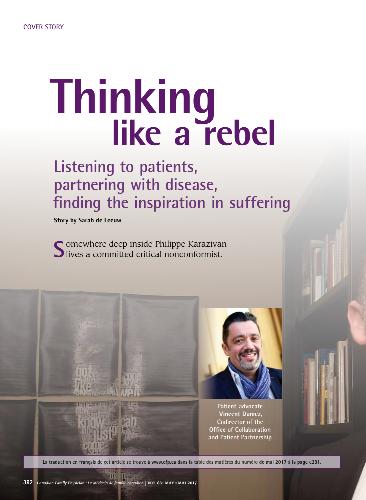## **Thinking like a rebel**

## **Listening to patients, partnering with disease, fnding the inspiration in suffering**

**Story by Sarah de Leeuw** 

Somewhere deep inside Philippe Karazivan<br>Slives a committed critical nonconformist.

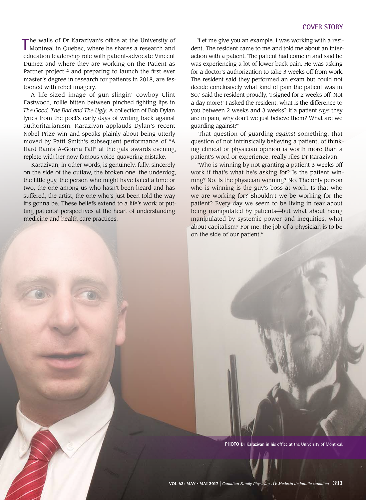The walls of Dr Karazivan's office at the University of Montreal in Quebec, where he shares a research and he walls of Dr Karazivan's offce at the University of education leadership role with patient-advocate Vincent Dumez and where they are working on the Patient as Partner project<sup>1,2</sup> and preparing to launch the first ever master's degree in research for patients in 2018, are festooned with rebel imagery.

A life-sized image of gun-slingin' cowboy Clint Eastwood, rollie bitten between pinched fghting lips in *The Good, The Bad and The Ugly.* A collection of Bob Dylan lyrics from the poet's early days of writing back against authoritarianism. Karazivan applauds Dylan's recent Nobel Prize win and speaks plainly about being utterly moved by Patti Smith's subsequent performance of "A Hard Rain's A-Gonna Fall" at the gala awards evening, replete with her now famous voice-quavering mistake.

Karazivan, in other words, is genuinely, fully, sincerely on the side of the outlaw, the broken one, the underdog, the little guy, the person who might have failed a time or two, the one among us who hasn't been heard and has suffered, the artist, the one who's just been told the way it's gonna be. These beliefs extend to a life's work of putting patients' perspectives at the heart of understanding medicine and health care practices.

"Let me give you an example. I was working with a resident. The resident came to me and told me about an interaction with a patient. The patient had come in and said he was experiencing a lot of lower back pain. He was asking for a doctor's authorization to take 3 weeks off from work. The resident said they performed an exam but could not decide conclusively what kind of pain the patient was in. 'So,' said the resident proudly, 'I signed for 2 weeks off. Not a day more!' I asked the resident, what is the difference to you between 2 weeks and 3 weeks? If a patient *says* they are in pain, why don't we just believe them? What are we guarding against?"

That question of guarding *against* something, that question of not intrinsically believing a patient, of thinking clinical or physician opinion is worth more than a patient's word or experience, really riles Dr Karazivan.

"Who is winning by not granting a patient 3 weeks off work if that's what he's asking for? Is the patient winning? No. Is the physician winning? No. The only person who is winning is the guy's boss at work. Is that who we are working for? Shouldn't we be working for the patient? Every day we seem to be living in fear about being manipulated by patients—but what about being manipulated by systemic power and inequities, what about capitalism? For me, the job of a physician is to be on the side of our patient."

PHOTO Dr Karazivan in his office at the University of Montreal.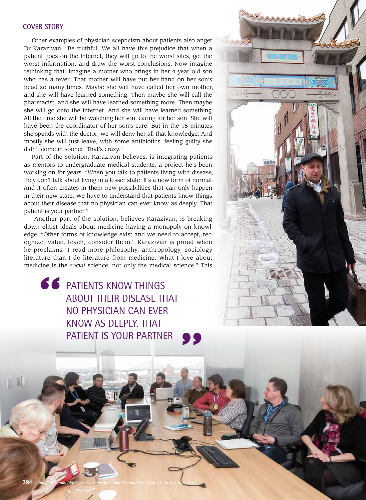## **COVER STORY**

 worst information, and draw the worst conclusions. Now imagine Other examples of physician scepticism about patients also anger Dr Karazivan: "Be truthful. We all have this prejudice that when a patient goes on the Internet, they will go to the worst sites, get the rethinking that. Imagine a mother who brings in her 4-year-old son who has a fever. That mother will have put her hand on her son's head so many times. Maybe she will have called her own mother, and she will have learned something. Then maybe she will call the pharmacist, and she will have learned something more. Then maybe she will go onto the Internet. And she will have learned something. All the time she will be watching her son, caring for her son. She will have been the coordinator of her son's care. But in the 15 minutes she spends with the doctor, we will deny her all that knowledge. And mostly she will just leave, with some antibiotics, feeling guilty she didn't come in sooner. That's crazy."

Part of the solution, Karazivan believes, is integrating patients as mentors to undergraduate medical students, a project he's been working on for years. "When you talk to patients living with disease, they don't talk about living in a lesser state. It's a new form of normal. And it often creates in them new possibilities that can only happen in their new state. We have to understand that patients know things about their disease that no physician can ever know as deeply. That patient is your partner."

 ognize, value, teach, consider them." Karazivan is proud when Another part of the solution, believes Karazivan, is breaking down elitist ideals about medicine having a monopoly on knowledge: "Other forms of knowledge exist and we need to accept, reche proclaims "I read more philosophy, anthropology, sociology literature than I do literature from medicine. What I love about medicine is the *social* science, not only the medical science." This

**66** PATIENTS KNOW THINGS about their disease that no physician can ever know as deeply. that patient is your partner